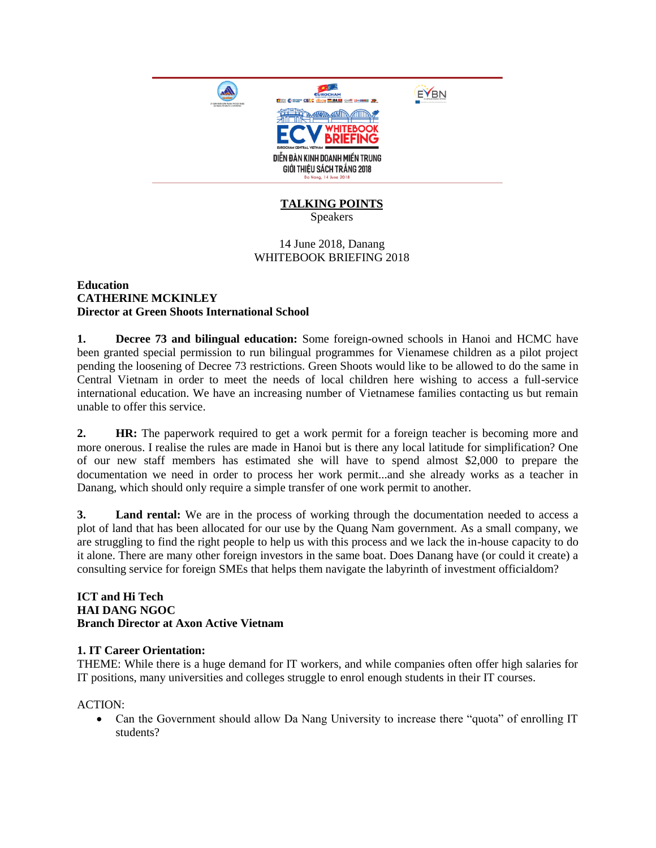

# **TALKING POINTS**

Speakers

## 14 June 2018, Danang WHITEBOOK BRIEFING 2018

#### **Education CATHERINE MCKINLEY Director at Green Shoots International School**

**1. Decree 73 and bilingual education:** Some foreign-owned schools in Hanoi and HCMC have been granted special permission to run bilingual programmes for Vienamese children as a pilot project pending the loosening of Decree 73 restrictions. Green Shoots would like to be allowed to do the same in Central Vietnam in order to meet the needs of local children here wishing to access a full-service international education. We have an increasing number of Vietnamese families contacting us but remain unable to offer this service.

**2. HR:** The paperwork required to get a work permit for a foreign teacher is becoming more and more onerous. I realise the rules are made in Hanoi but is there any local latitude for simplification? One of our new staff members has estimated she will have to spend almost \$2,000 to prepare the documentation we need in order to process her work permit...and she already works as a teacher in Danang, which should only require a simple transfer of one work permit to another.

**3. Land rental:** We are in the process of working through the documentation needed to access a plot of land that has been allocated for our use by the Quang Nam government. As a small company, we are struggling to find the right people to help us with this process and we lack the in-house capacity to do it alone. There are many other foreign investors in the same boat. Does Danang have (or could it create) a consulting service for foreign SMEs that helps them navigate the labyrinth of investment officialdom?

#### **ICT and Hi Tech HAI DANG NGOC Branch Director at Axon Active Vietnam**

# **1. IT Career Orientation:**

THEME: While there is a huge demand for IT workers, and while companies often offer high salaries for IT positions, many universities and colleges struggle to enrol enough students in their IT courses.

ACTION:

• Can the Government should allow Da Nang University to increase there "quota" of enrolling IT students?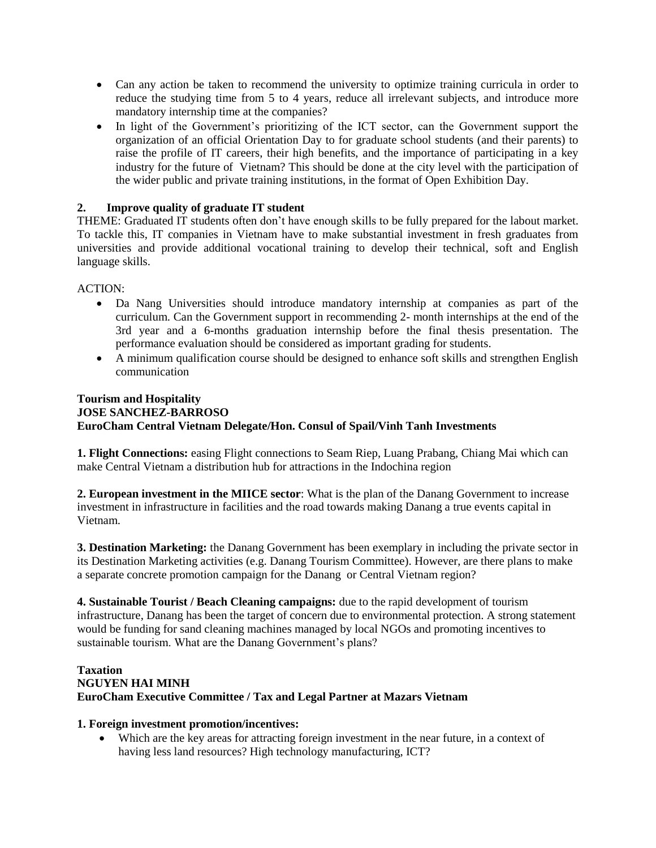- Can any action be taken to recommend the university to optimize training curricula in order to reduce the studying time from 5 to 4 years, reduce all irrelevant subjects, and introduce more mandatory internship time at the companies?
- In light of the Government's prioritizing of the ICT sector, can the Government support the organization of an official Orientation Day to for graduate school students (and their parents) to raise the profile of IT careers, their high benefits, and the importance of participating in a key industry for the future of Vietnam? This should be done at the city level with the participation of the wider public and private training institutions, in the format of Open Exhibition Day.

# **2. Improve quality of graduate IT student**

THEME: Graduated IT students often don't have enough skills to be fully prepared for the labout market. To tackle this, IT companies in Vietnam have to make substantial investment in fresh graduates from universities and provide additional vocational training to develop their technical, soft and English language skills.

ACTION:

- Da Nang Universities should introduce mandatory internship at companies as part of the curriculum. Can the Government support in recommending 2- month internships at the end of the 3rd year and a 6-months graduation internship before the final thesis presentation. The performance evaluation should be considered as important grading for students.
- A minimum qualification course should be designed to enhance soft skills and strengthen English communication

# **Tourism and Hospitality JOSE SANCHEZ-BARROSO EuroCham Central Vietnam Delegate/Hon. Consul of Spail/Vinh Tanh Investments**

**1. Flight Connections:** easing Flight connections to Seam Riep, Luang Prabang, Chiang Mai which can make Central Vietnam a distribution hub for attractions in the Indochina region

**2. European investment in the MIICE sector**: What is the plan of the Danang Government to increase investment in infrastructure in facilities and the road towards making Danang a true events capital in Vietnam.

**3. Destination Marketing:** the Danang Government has been exemplary in including the private sector in its Destination Marketing activities (e.g. Danang Tourism Committee). However, are there plans to make a separate concrete promotion campaign for the Danang or Central Vietnam region?

**4. Sustainable Tourist / Beach Cleaning campaigns:** due to the rapid development of tourism infrastructure, Danang has been the target of concern due to environmental protection. A strong statement would be funding for sand cleaning machines managed by local NGOs and promoting incentives to sustainable tourism. What are the Danang Government's plans?

### **Taxation NGUYEN HAI MINH EuroCham Executive Committee / Tax and Legal Partner at Mazars Vietnam**

### **1. Foreign investment promotion/incentives:**

 Which are the key areas for attracting foreign investment in the near future, in a context of having less land resources? High technology manufacturing, ICT?